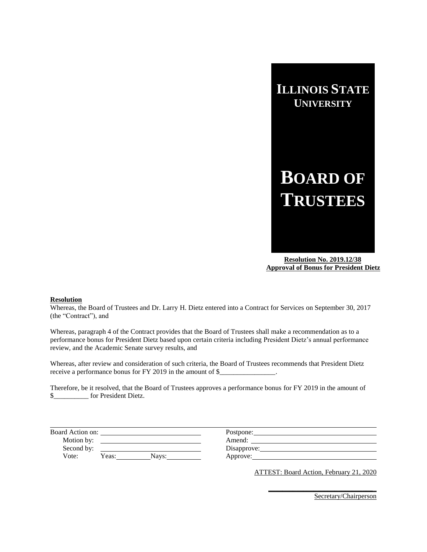

 **Resolution No. 2019.12/38 Approval of Bonus for President Dietz**

### **Resolution**

Whereas, the Board of Trustees and Dr. Larry H. Dietz entered into a Contract for Services on September 30, 2017 (the "Contract"), and

Whereas, paragraph 4 of the Contract provides that the Board of Trustees shall make a recommendation as to a performance bonus for President Dietz based upon certain criteria including President Dietz's annual performance review, and the Academic Senate survey results, and

Whereas, after review and consideration of such criteria, the Board of Trustees recommends that President Dietz receive a performance bonus for FY 2019 in the amount of \$\_\_\_\_\_\_\_\_\_\_\_\_\_\_\_\_\_\_\_\_\_\_\_

Therefore, be it resolved, that the Board of Trustees approves a performance bonus for FY 2019 in the amount of \$\_\_\_\_\_\_\_\_\_\_ for President Dietz.

| Board Action on: |       |       | Postpone:   |
|------------------|-------|-------|-------------|
| Motion by:       |       |       | Amend:      |
| Second by:       |       |       | Disapprove: |
| Vote:            | Yeas: | Navs: | Approve:    |

ATTEST: Board Action, February 21, 2020

**\_\_\_\_\_\_\_\_\_\_\_\_\_\_\_\_\_\_\_\_\_\_\_\_\_\_\_\_\_\_**\_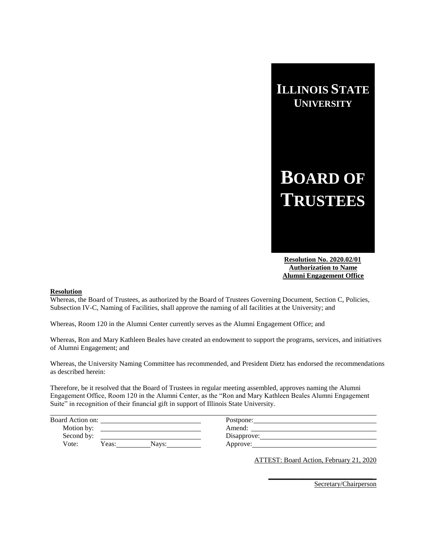# **BOARD OF TRUSTEES**

 **Resolution No. 2020.02/01 Authorization to Name Alumni Engagement Office**

### **Resolution**

Whereas, the Board of Trustees, as authorized by the Board of Trustees Governing Document, Section C, Policies, Subsection IV-C, Naming of Facilities, shall approve the naming of all facilities at the University; and

Whereas, Room 120 in the Alumni Center currently serves as the Alumni Engagement Office; and

Whereas, Ron and Mary Kathleen Beales have created an endowment to support the programs, services, and initiatives of Alumni Engagement; and

Whereas, the University Naming Committee has recommended, and President Dietz has endorsed the recommendations as described herein:

Therefore, be it resolved that the Board of Trustees in regular meeting assembled, approves naming the Alumni Engagement Office, Room 120 in the Alumni Center, as the "Ron and Mary Kathleen Beales Alumni Engagement Suite" in recognition of their financial gift in support of Illinois State University.

| Board Action on: |       |       | Postpone:   |
|------------------|-------|-------|-------------|
| Motion by:       |       |       | Amend:      |
| Second by:       |       |       | Disapprove: |
| Vote:            | Yeas: | Navs: | Approve:    |

ATTEST: Board Action, February 21, 2020

**\_\_\_\_\_\_\_\_\_\_\_\_\_\_\_\_\_\_\_\_\_\_\_\_\_\_\_\_\_\_**\_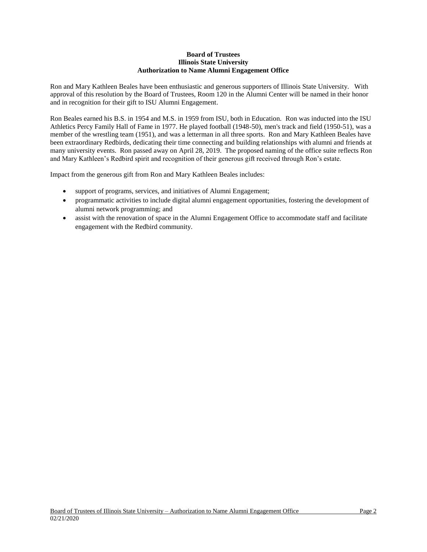# **Board of Trustees Illinois State University Authorization to Name Alumni Engagement Office**

Ron and Mary Kathleen Beales have been enthusiastic and generous supporters of Illinois State University. With approval of this resolution by the Board of Trustees, Room 120 in the Alumni Center will be named in their honor and in recognition for their gift to ISU Alumni Engagement.

Ron Beales earned his B.S. in 1954 and M.S. in 1959 from ISU, both in Education. Ron was inducted into the ISU Athletics Percy Family Hall of Fame in 1977. He played football (1948-50), men's track and field (1950-51), was a member of the wrestling team (1951), and was a letterman in all three sports. Ron and Mary Kathleen Beales have been extraordinary Redbirds, dedicating their time connecting and building relationships with alumni and friends at many university events. Ron passed away on April 28, 2019. The proposed naming of the office suite reflects Ron and Mary Kathleen's Redbird spirit and recognition of their generous gift received through Ron's estate.

Impact from the generous gift from Ron and Mary Kathleen Beales includes:

- support of programs, services, and initiatives of Alumni Engagement;
- programmatic activities to include digital alumni engagement opportunities, fostering the development of alumni network programming; and
- assist with the renovation of space in the Alumni Engagement Office to accommodate staff and facilitate engagement with the Redbird community.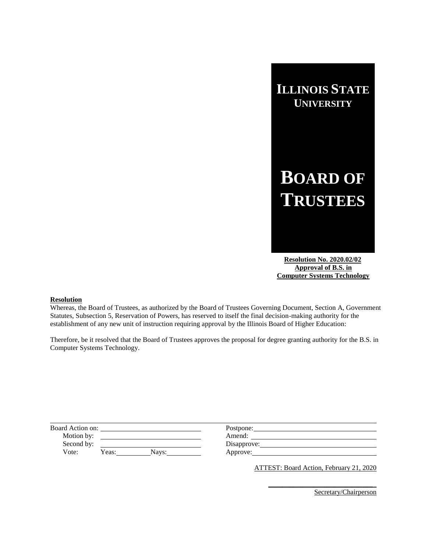# **BOARD OF TRUSTEES**

 **Resolution No. 2020.02/02 Approval of B.S. in Computer Systems Technology**

# **Resolution**

Whereas, the Board of Trustees, as authorized by the Board of Trustees Governing Document, Section A, Government Statutes, Subsection 5, Reservation of Powers, has reserved to itself the final decision-making authority for the establishment of any new unit of instruction requiring approval by the Illinois Board of Higher Education:

Therefore, be it resolved that the Board of Trustees approves the proposal for degree granting authority for the B.S. in Computer Systems Technology.

| Board Action on: |                | Postpone:   |  |
|------------------|----------------|-------------|--|
| Motion by:       |                | Amend:      |  |
| Second by:       |                | Disapprove: |  |
| Vote:            | Yeas:<br>Navs: | Approve:    |  |
|                  |                |             |  |

ATTEST: Board Action, February 21, 2020

**\_\_\_\_\_\_\_\_\_\_\_\_\_\_\_\_\_\_\_\_\_\_\_\_\_\_\_\_\_\_**\_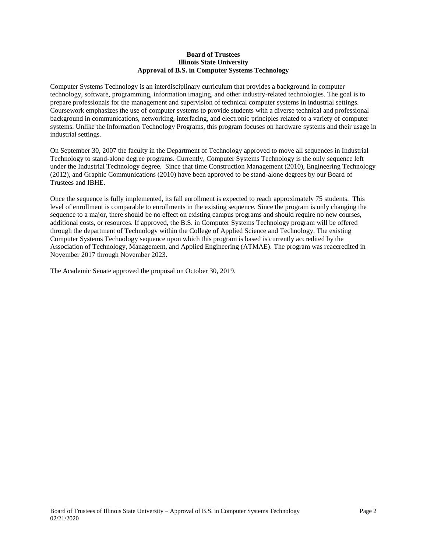# **Board of Trustees Illinois State University Approval of B.S. in Computer Systems Technology**

Computer Systems Technology is an interdisciplinary curriculum that provides a background in computer technology, software, programming, information imaging, and other industry-related technologies. The goal is to prepare professionals for the management and supervision of technical computer systems in industrial settings. Coursework emphasizes the use of computer systems to provide students with a diverse technical and professional background in communications, networking, interfacing, and electronic principles related to a variety of computer systems. Unlike the Information Technology Programs, this program focuses on hardware systems and their usage in industrial settings.

On September 30, 2007 the faculty in the Department of Technology approved to move all sequences in Industrial Technology to stand-alone degree programs. Currently, Computer Systems Technology is the only sequence left under the Industrial Technology degree. Since that time Construction Management (2010), Engineering Technology (2012), and Graphic Communications (2010) have been approved to be stand-alone degrees by our Board of Trustees and IBHE.

Once the sequence is fully implemented, its fall enrollment is expected to reach approximately 75 students. This level of enrollment is comparable to enrollments in the existing sequence. Since the program is only changing the sequence to a major, there should be no effect on existing campus programs and should require no new courses, additional costs, or resources. If approved, the B.S. in Computer Systems Technology program will be offered through the department of Technology within the College of Applied Science and Technology. The existing Computer Systems Technology sequence upon which this program is based is currently accredited by the Association of Technology, Management, and Applied Engineering (ATMAE). The program was reaccredited in November 2017 through November 2023.

The Academic Senate approved the proposal on October 30, 2019.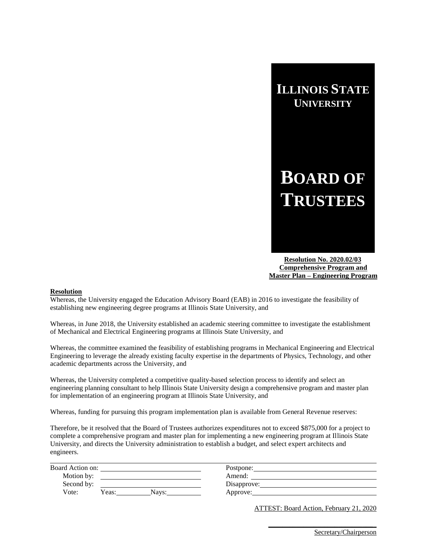

 **Resolution No. 2020.02/03 Comprehensive Program and Master Plan – Engineering Program**

### **Resolution**

Whereas, the University engaged the Education Advisory Board (EAB) in 2016 to investigate the feasibility of establishing new engineering degree programs at Illinois State University, and

Whereas, in June 2018, the University established an academic steering committee to investigate the establishment of Mechanical and Electrical Engineering programs at Illinois State University, and

Whereas, the committee examined the feasibility of establishing programs in Mechanical Engineering and Electrical Engineering to leverage the already existing faculty expertise in the departments of Physics, Technology, and other academic departments across the University, and

Whereas, the University completed a competitive quality-based selection process to identify and select an engineering planning consultant to help Illinois State University design a comprehensive program and master plan for implementation of an engineering program at Illinois State University, and

Whereas, funding for pursuing this program implementation plan is available from General Revenue reserves:

Therefore, be it resolved that the Board of Trustees authorizes expenditures not to exceed \$875,000 for a project to complete a comprehensive program and master plan for implementing a new engineering program at Illinois State University, and directs the University administration to establish a budget, and select expert architects and engineers.

| Board Action on: |       |       | Postpone:   |
|------------------|-------|-------|-------------|
| Motion by:       |       |       | Amend:      |
| Second by:       |       |       | Disapprove: |
| Vote:            | Yeas: | Navs: | Approve:    |

ATTEST: Board Action, February 21, 2020

**\_\_\_\_\_\_\_\_\_\_\_\_\_\_\_\_\_\_\_\_\_\_\_\_\_\_\_\_\_\_**\_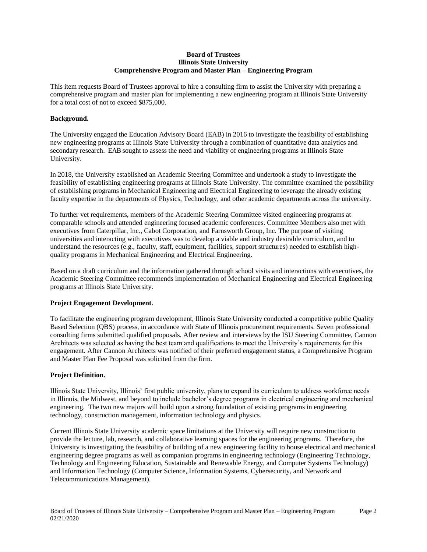# **Board of Trustees Illinois State University Comprehensive Program and Master Plan – Engineering Program**

This item requests Board of Trustees approval to hire a consulting firm to assist the University with preparing a comprehensive program and master plan for implementing a new engineering program at Illinois State University for a total cost of not to exceed \$875,000.

# **Background.**

The University engaged the Education Advisory Board (EAB) in 2016 to investigate the feasibility of establishing new engineering programs at Illinois State University through a combination of quantitative data analytics and secondary research. EAB sought to assess the need and viability of engineering programs at Illinois State University.

In 2018, the University established an Academic Steering Committee and undertook a study to investigate the feasibility of establishing engineering programs at Illinois State University. The committee examined the possibility of establishing programs in Mechanical Engineering and Electrical Engineering to leverage the already existing faculty expertise in the departments of Physics, Technology, and other academic departments across the university.

To further vet requirements, members of the Academic Steering Committee visited engineering programs at comparable schools and attended engineering focused academic conferences. Committee Members also met with executives from Caterpillar, Inc., Cabot Corporation, and Farnsworth Group, Inc. The purpose of visiting universities and interacting with executives was to develop a viable and industry desirable curriculum, and to understand the resources (e.g., faculty, staff, equipment, facilities, support structures) needed to establish highquality programs in Mechanical Engineering and Electrical Engineering.

Based on a draft curriculum and the information gathered through school visits and interactions with executives, the Academic Steering Committee recommends implementation of Mechanical Engineering and Electrical Engineering programs at Illinois State University.

# **Project Engagement Development**.

To facilitate the engineering program development, Illinois State University conducted a competitive public Quality Based Selection (QBS) process, in accordance with State of Illinois procurement requirements. Seven professional consulting firms submitted qualified proposals. After review and interviews by the ISU Steering Committee, Cannon Architects was selected as having the best team and qualifications to meet the University's requirements for this engagement. After Cannon Architects was notified of their preferred engagement status, a Comprehensive Program and Master Plan Fee Proposal was solicited from the firm.

# **Project Definition.**

Illinois State University, Illinois' first public university, plans to expand its curriculum to address workforce needs in Illinois, the Midwest, and beyond to include bachelor's degree programs in electrical engineering and mechanical engineering. The two new majors will build upon a strong foundation of existing programs in engineering technology, construction management, information technology and physics.

Current Illinois State University academic space limitations at the University will require new construction to provide the lecture, lab, research, and collaborative learning spaces for the engineering programs. Therefore, the University is investigating the feasibility of building of a new engineering facility to house electrical and mechanical engineering degree programs as well as companion programs in engineering technology (Engineering Technology, Technology and Engineering Education, Sustainable and Renewable Energy, and Computer Systems Technology) and Information Technology (Computer Science, Information Systems, Cybersecurity, and Network and Telecommunications Management).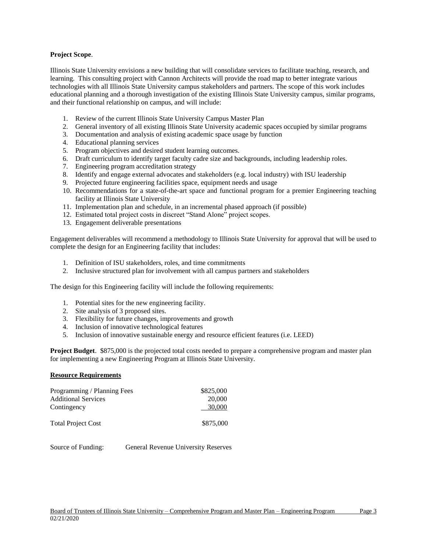# **Project Scope**.

Illinois State University envisions a new building that will consolidate services to facilitate teaching, research, and learning. This consulting project with Cannon Architects will provide the road map to better integrate various technologies with all Illinois State University campus stakeholders and partners. The scope of this work includes educational planning and a thorough investigation of the existing Illinois State University campus, similar programs, and their functional relationship on campus, and will include:

- 1. Review of the current Illinois State University Campus Master Plan
- 2. General inventory of all existing Illinois State University academic spaces occupied by similar programs
- 3. Documentation and analysis of existing academic space usage by function
- 4. Educational planning services
- 5. Program objectives and desired student learning outcomes.
- 6. Draft curriculum to identify target faculty cadre size and backgrounds, including leadership roles.
- 7. Engineering program accreditation strategy
- 8. Identify and engage external advocates and stakeholders (e.g. local industry) with ISU leadership
- 9. Projected future engineering facilities space, equipment needs and usage
- 10. Recommendations for a state-of-the-art space and functional program for a premier Engineering teaching facility at Illinois State University
- 11. Implementation plan and schedule, in an incremental phased approach (if possible)
- 12. Estimated total project costs in discreet "Stand Alone" project scopes.
- 13. Engagement deliverable presentations

Engagement deliverables will recommend a methodology to Illinois State University for approval that will be used to complete the design for an Engineering facility that includes:

- 1. Definition of ISU stakeholders, roles, and time commitments
- 2. Inclusive structured plan for involvement with all campus partners and stakeholders

The design for this Engineering facility will include the following requirements:

- 1. Potential sites for the new engineering facility.
- 2. Site analysis of 3 proposed sites.
- 3. Flexibility for future changes, improvements and growth
- 4. Inclusion of innovative technological features
- 5. Inclusion of innovative sustainable energy and resource efficient features (i.e. LEED)

**Project Budget**. \$875,000 is the projected total costs needed to prepare a comprehensive program and master plan for implementing a new Engineering Program at Illinois State University.

### **Resource Requirements**

| Programming / Planning Fees | \$825,000 |
|-----------------------------|-----------|
| <b>Additional Services</b>  | 20,000    |
| Contingency                 | 30,000    |
| <b>Total Project Cost</b>   | \$875,000 |

Source of Funding: General Revenue University Reserves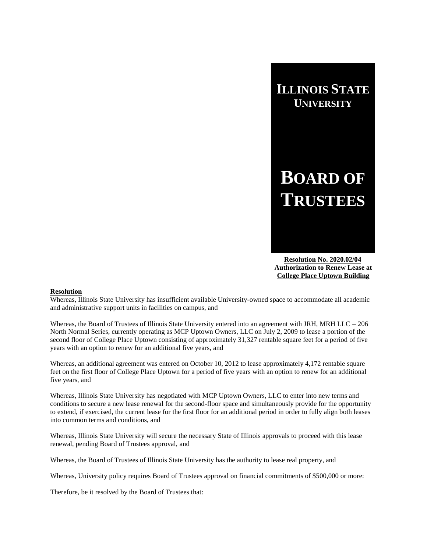# **BOARD OF TRUSTEES**

 **Resolution No. 2020.02/04 Authorization to Renew Lease at College Place Uptown Building**

# **Resolution**

Whereas, Illinois State University has insufficient available University-owned space to accommodate all academic and administrative support units in facilities on campus, and

Whereas, the Board of Trustees of Illinois State University entered into an agreement with JRH, MRH LLC – 206 North Normal Series, currently operating as MCP Uptown Owners, LLC on July 2, 2009 to lease a portion of the second floor of College Place Uptown consisting of approximately 31,327 rentable square feet for a period of five years with an option to renew for an additional five years, and

Whereas, an additional agreement was entered on October 10, 2012 to lease approximately 4,172 rentable square feet on the first floor of College Place Uptown for a period of five years with an option to renew for an additional five years, and

Whereas, Illinois State University has negotiated with MCP Uptown Owners, LLC to enter into new terms and conditions to secure a new lease renewal for the second-floor space and simultaneously provide for the opportunity to extend, if exercised, the current lease for the first floor for an additional period in order to fully align both leases into common terms and conditions, and

Whereas, Illinois State University will secure the necessary State of Illinois approvals to proceed with this lease renewal, pending Board of Trustees approval, and

Whereas, the Board of Trustees of Illinois State University has the authority to lease real property, and

Whereas, University policy requires Board of Trustees approval on financial commitments of \$500,000 or more:

Therefore, be it resolved by the Board of Trustees that: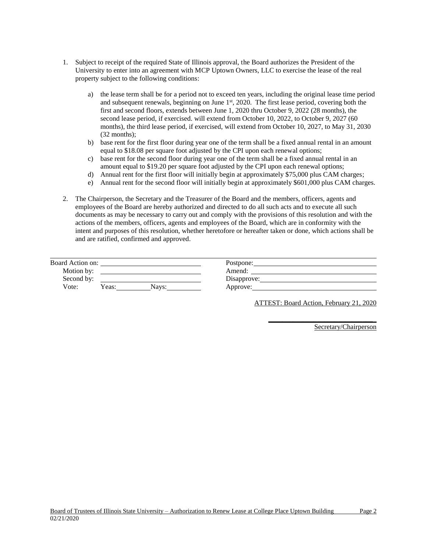- 1. Subject to receipt of the required State of Illinois approval, the Board authorizes the President of the University to enter into an agreement with MCP Uptown Owners, LLC to exercise the lease of the real property subject to the following conditions:
	- a) the lease term shall be for a period not to exceed ten years, including the original lease time period and subsequent renewals, beginning on June 1<sup>st</sup>, 2020. The first lease period, covering both the first and second floors, extends between June 1, 2020 thru October 9, 2022 (28 months), the second lease period, if exercised. will extend from October 10, 2022, to October 9, 2027 (60 months), the third lease period, if exercised, will extend from October 10, 2027, to May 31, 2030 (32 months);
	- b) base rent for the first floor during year one of the term shall be a fixed annual rental in an amount equal to \$18.08 per square foot adjusted by the CPI upon each renewal options;
	- c) base rent for the second floor during year one of the term shall be a fixed annual rental in an amount equal to \$19.20 per square foot adjusted by the CPI upon each renewal options;
	- d) Annual rent for the first floor will initially begin at approximately \$75,000 plus CAM charges;
	- e) Annual rent for the second floor will initially begin at approximately \$601,000 plus CAM charges.
- 2. The Chairperson, the Secretary and the Treasurer of the Board and the members, officers, agents and employees of the Board are hereby authorized and directed to do all such acts and to execute all such documents as may be necessary to carry out and comply with the provisions of this resolution and with the actions of the members, officers, agents and employees of the Board, which are in conformity with the intent and purposes of this resolution, whether heretofore or hereafter taken or done, which actions shall be and are ratified, confirmed and approved.

| Board Action on: |                                       | Postpone:          |  |
|------------------|---------------------------------------|--------------------|--|
| Motion by:       |                                       | Amend <sup>-</sup> |  |
| Second by:       |                                       | Disapprove:        |  |
| Vote:            | $\mathrm{v}_{\mathrm{eas:}}$<br>Navs: | Approve:           |  |

ATTEST: Board Action, February 21, 2020

**\_\_\_\_\_\_\_\_\_\_\_\_\_\_\_\_\_\_\_\_\_\_\_\_\_\_\_\_\_\_**\_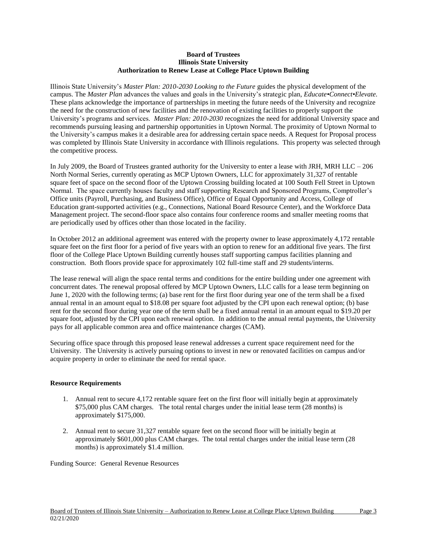# **Board of Trustees Illinois State University Authorization to Renew Lease at College Place Uptown Building**

Illinois State University's *Master Plan: 2010-2030 Looking to the Future* guides the physical development of the campus. The *Master Plan* advances the values and goals in the University's strategic plan, *Educate•Connect•Elevate.*  These plans acknowledge the importance of partnerships in meeting the future needs of the University and recognize the need for the construction of new facilities and the renovation of existing facilities to properly support the University's programs and services. *Master Plan: 2010-2030* recognizes the need for additional University space and recommends pursuing leasing and partnership opportunities in Uptown Normal. The proximity of Uptown Normal to the University's campus makes it a desirable area for addressing certain space needs. A Request for Proposal process was completed by Illinois State University in accordance with Illinois regulations. This property was selected through the competitive process.

In July 2009, the Board of Trustees granted authority for the University to enter a lease with JRH, MRH LLC – 206 North Normal Series, currently operating as MCP Uptown Owners, LLC for approximately 31,327 of rentable square feet of space on the second floor of the Uptown Crossing building located at 100 South Fell Street in Uptown Normal. The space currently houses faculty and staff supporting Research and Sponsored Programs, Comptroller's Office units (Payroll, Purchasing, and Business Office), Office of Equal Opportunity and Access, College of Education grant-supported activities (e.g., Connections, National Board Resource Center), and the Workforce Data Management project. The second-floor space also contains four conference rooms and smaller meeting rooms that are periodically used by offices other than those located in the facility.

In October 2012 an additional agreement was entered with the property owner to lease approximately 4,172 rentable square feet on the first floor for a period of five years with an option to renew for an additional five years. The first floor of the College Place Uptown Building currently houses staff supporting campus facilities planning and construction. Both floors provide space for approximately 102 full-time staff and 29 students/interns.

The lease renewal will align the space rental terms and conditions for the entire building under one agreement with concurrent dates. The renewal proposal offered by MCP Uptown Owners, LLC calls for a lease term beginning on June 1, 2020 with the following terms; (a) base rent for the first floor during year one of the term shall be a fixed annual rental in an amount equal to \$18.08 per square foot adjusted by the CPI upon each renewal option; (b) base rent for the second floor during year one of the term shall be a fixed annual rental in an amount equal to \$19.20 per square foot, adjusted by the CPI upon each renewal option. In addition to the annual rental payments, the University pays for all applicable common area and office maintenance charges (CAM).

Securing office space through this proposed lease renewal addresses a current space requirement need for the University. The University is actively pursuing options to invest in new or renovated facilities on campus and/or acquire property in order to eliminate the need for rental space.

# **Resource Requirements**

- 1. Annual rent to secure 4,172 rentable square feet on the first floor will initially begin at approximately \$75,000 plus CAM charges. The total rental charges under the initial lease term (28 months) is approximately \$175,000.
- 2. Annual rent to secure 31,327 rentable square feet on the second floor will be initially begin at approximately \$601,000 plus CAM charges. The total rental charges under the initial lease term (28 months) is approximately \$1.4 million.

Funding Source: General Revenue Resources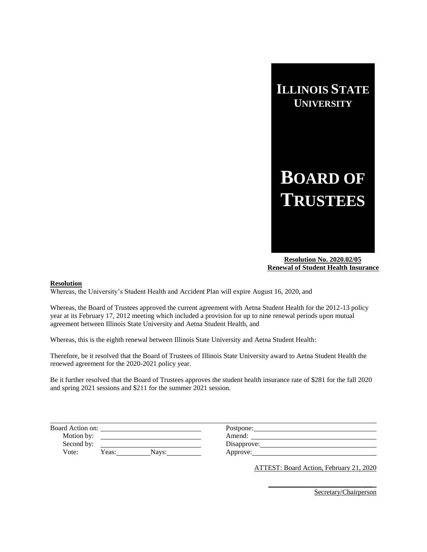

 **Resolution No. 2020.02/05 Renewal of Student Health Insurance**

# **Resolution**

Whereas, the University's Student Health and Accident Plan will expire August 16, 2020, and

Whereas, the Board of Trustees approved the current agreement with Aetna Student Health for the 2012-13 policy year at its February 17, 2012 meeting which included a provision for up to nine renewal periods upon mutual agreement between Illinois State University and Aetna Student Health, and

Whereas, this is the eighth renewal between Illinois State University and Aetna Student Health:

Therefore, be it resolved that the Board of Trustees of Illinois State University award to Aetna Student Health the renewed agreement for the 2020-2021 policy year.

Be it further resolved that the Board of Trustees approves the student health insurance rate of \$281 for the fall 2020 and spring 2021 sessions and \$211 for the summer 2021 session.

| Board Action on: |                | Postpone:   |
|------------------|----------------|-------------|
| Motion by:       |                | Amend:      |
| Second by:       |                | Disapprove: |
| Vote:            | Yeas:<br>Navs: | Approve:    |

ATTEST: Board Action, February 21, 2020

**\_\_\_\_\_\_\_\_\_\_\_\_\_\_\_\_\_\_\_\_\_\_\_\_\_\_\_\_\_\_**\_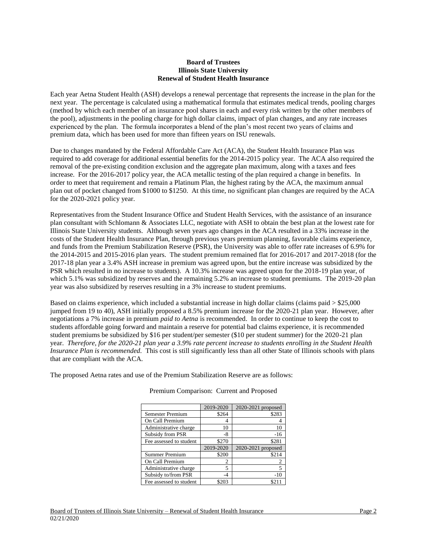## **Board of Trustees Illinois State University Renewal of Student Health Insurance**

Each year Aetna Student Health (ASH) develops a renewal percentage that represents the increase in the plan for the next year. The percentage is calculated using a mathematical formula that estimates medical trends, pooling charges (method by which each member of an insurance pool shares in each and every risk written by the other members of the pool), adjustments in the pooling charge for high dollar claims, impact of plan changes, and any rate increases experienced by the plan. The formula incorporates a blend of the plan's most recent two years of claims and premium data, which has been used for more than fifteen years on ISU renewals.

Due to changes mandated by the Federal Affordable Care Act (ACA), the Student Health Insurance Plan was required to add coverage for additional essential benefits for the 2014-2015 policy year. The ACA also required the removal of the pre-existing condition exclusion and the aggregate plan maximum, along with a taxes and fees increase. For the 2016-2017 policy year, the ACA metallic testing of the plan required a change in benefits. In order to meet that requirement and remain a Platinum Plan, the highest rating by the ACA, the maximum annual plan out of pocket changed from \$1000 to \$1250. At this time, no significant plan changes are required by the ACA for the 2020-2021 policy year.

Representatives from the Student Insurance Office and Student Health Services, with the assistance of an insurance plan consultant with Schlomann & Associates LLC, negotiate with ASH to obtain the best plan at the lowest rate for Illinois State University students. Although seven years ago changes in the ACA resulted in a 33% increase in the costs of the Student Health Insurance Plan, through previous years premium planning, favorable claims experience, and funds from the Premium Stabilization Reserve (PSR), the University was able to offer rate increases of 6.9% for the 2014-2015 and 2015-2016 plan years. The student premium remained flat for 2016-2017 and 2017-2018 (for the 2017-18 plan year a 3.4% ASH increase in premium was agreed upon, but the entire increase was subsidized by the PSR which resulted in no increase to students). A 10.3% increase was agreed upon for the 2018-19 plan year, of which 5.1% was subsidized by reserves and the remaining 5.2% an increase to student premiums. The 2019-20 plan year was also subsidized by reserves resulting in a 3% increase to student premiums.

Based on claims experience, which included a substantial increase in high dollar claims (claims paid > \$25,000 jumped from 19 to 40), ASH initially proposed a 8.5% premium increase for the 2020-21 plan year. However, after negotiations a 7% increase in premium *paid to Aetna* is recommended. In order to continue to keep the cost to students affordable going forward and maintain a reserve for potential bad claims experience, it is recommended student premiums be subsidized by \$16 per student/per semester (\$10 per student summer) for the 2020-21 plan year. *Therefore, for the 2020-21 plan year a 3.9% rate percent increase to students enrolling in the Student Health Insurance Plan is recommended.* This cost is still significantly less than all other State of Illinois schools with plans that are compliant with the ACA.

The proposed Aetna rates and use of the Premium Stabilization Reserve are as follows:

|                         | 2019-2020 | 2020-2021 proposed |
|-------------------------|-----------|--------------------|
| Semester Premium        | \$264     | \$283              |
| On Call Premium         |           |                    |
| Administrative charge   | 10        | 10                 |
| Subsidy from PSR        | -8        | $-16$              |
| Fee assessed to student | \$270     | \$281              |
|                         | 2019-2020 | 2020-2021 proposed |
| Summer Premium          | \$200     | \$214              |
| On Call Premium         | 2         |                    |
| Administrative charge   | 5         | 5                  |
| Subsidy to/from PSR     | -4        | $-10$              |
| Fee assessed to student | \$203     |                    |

Premium Comparison: Current and Proposed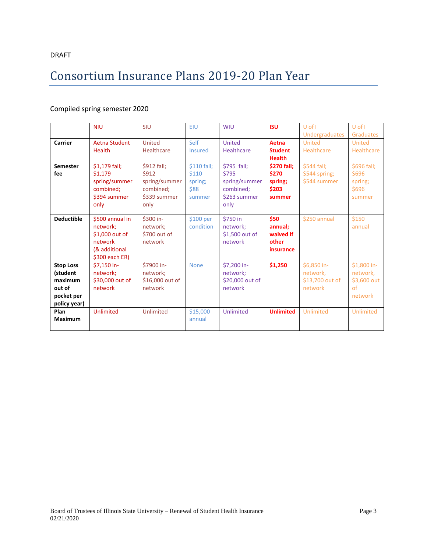# DRAFT

# Consortium Insurance Plans 2019-20 Plan Year

# Compiled spring semester 2020

|                   | <b>NIU</b>      | <b>SIU</b>         | EIU            | <b>WIU</b>      | <b>ISU</b>         | $U$ of $I$      | $U$ of $I$    |
|-------------------|-----------------|--------------------|----------------|-----------------|--------------------|-----------------|---------------|
|                   |                 |                    |                |                 |                    |                 |               |
|                   |                 |                    |                |                 |                    | Undergraduates  | Graduates     |
| <b>Carrier</b>    | Aetna Student   | United             | Self           | <b>United</b>   | Aetna              | United          | <b>United</b> |
|                   | <b>Health</b>   | <b>Healthcare</b>  | <b>Insured</b> | Healthcare      | <b>Student</b>     | Healthcare      | Healthcare    |
|                   |                 |                    |                |                 | <b>Health</b>      |                 |               |
| <b>Semester</b>   | \$1,179 fall;   | <b>\$912 fall:</b> | \$110 fall;    | \$795 fall;     | <b>\$270 fall:</b> | \$544 fall;     | \$696 fall;   |
| fee               | \$1,179         | \$912              | \$110          | \$795           | \$270              | \$544 spring;   | \$696         |
|                   | spring/summer   | spring/summer      | spring;        | spring/summer   | spring;            | \$544 summer    | spring;       |
|                   | combined;       | combined;          | \$88           | combined;       | \$203              |                 | \$696         |
|                   | \$394 summer    | \$339 summer       | summer         | \$263 summer    | summer             |                 | summer        |
|                   | only            | only               |                | only            |                    |                 |               |
|                   |                 |                    |                |                 |                    |                 |               |
| <b>Deductible</b> | \$500 annual in | \$300 in-          | \$100 per      | \$750 in        | \$50               | \$250 annual    | \$150         |
|                   | network;        | network;           | condition      | network;        | annual;            |                 | annual        |
|                   | \$1,000 out of  | \$700 out of       |                | \$1,500 out of  | waived if          |                 |               |
|                   | network         | network            |                | network         | other              |                 |               |
|                   | (& additional   |                    |                |                 | insurance          |                 |               |
|                   | \$300 each ER)  |                    |                |                 |                    |                 |               |
| <b>Stop Loss</b>  | \$7,150 in-     | \$7900 in-         | <b>None</b>    | \$7,200 in-     | \$1,250            | \$6,850 in-     | \$1,800 in-   |
|                   |                 |                    |                |                 |                    |                 |               |
| (student          | network:        | network:           |                | network;        |                    | network,        | network,      |
| maximum           | \$30,000 out of | \$16,000 out of    |                | \$20,000 out of |                    | \$13,700 out of | \$3,600 out   |
| out of            | network         | network            |                | network         |                    | network         | of            |
| pocket per        |                 |                    |                |                 |                    |                 | network       |
| policy year)      |                 |                    |                |                 |                    |                 |               |
| Plan              | Unlimited       | Unlimited          | \$15,000       | Unlimited       | <b>Unlimited</b>   | Unlimited       | Unlimited     |
| <b>Maximum</b>    |                 |                    | annual         |                 |                    |                 |               |
|                   |                 |                    |                |                 |                    |                 |               |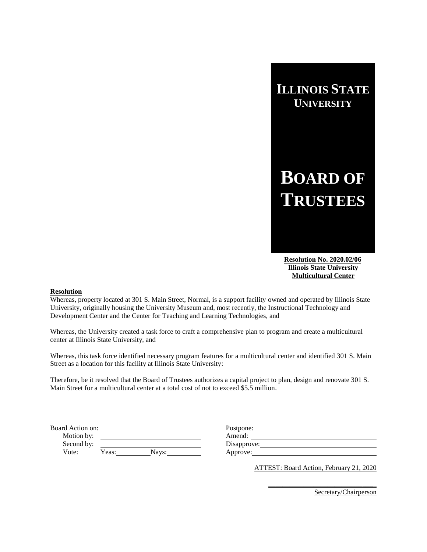# **BOARD OF TRUSTEES**

 **Resolution No. 2020.02/06 Illinois State University Multicultural Center**

### **Resolution**

Whereas, property located at 301 S. Main Street, Normal, is a support facility owned and operated by Illinois State University, originally housing the University Museum and, most recently, the Instructional Technology and Development Center and the Center for Teaching and Learning Technologies, and

Whereas, the University created a task force to craft a comprehensive plan to program and create a multicultural center at Illinois State University, and

Whereas, this task force identified necessary program features for a multicultural center and identified 301 S. Main Street as a location for this facility at Illinois State University:

Therefore, be it resolved that the Board of Trustees authorizes a capital project to plan, design and renovate 301 S. Main Street for a multicultural center at a total cost of not to exceed \$5.5 million.

| Board Action on: |                | Postpone:   |  |
|------------------|----------------|-------------|--|
| Motion by:       |                | Amend:      |  |
| Second by:       |                | Disapprove: |  |
| Vote:            | Yeas:<br>Navs: | Approve:    |  |

ATTEST: Board Action, February 21, 2020

**\_\_\_\_\_\_\_\_\_\_\_\_\_\_\_\_\_\_\_\_\_\_\_\_\_\_\_\_\_\_**\_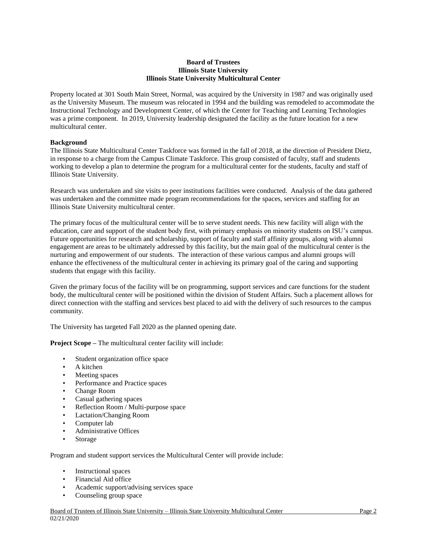# **Board of Trustees Illinois State University Illinois State University Multicultural Center**

Property located at 301 South Main Street, Normal, was acquired by the University in 1987 and was originally used as the University Museum. The museum was relocated in 1994 and the building was remodeled to accommodate the Instructional Technology and Development Center, of which the Center for Teaching and Learning Technologies was a prime component. In 2019, University leadership designated the facility as the future location for a new multicultural center.

# **Background**

The Illinois State Multicultural Center Taskforce was formed in the fall of 2018, at the direction of President Dietz, in response to a charge from the Campus Climate Taskforce. This group consisted of faculty, staff and students working to develop a plan to determine the program for a multicultural center for the students, faculty and staff of Illinois State University.

Research was undertaken and site visits to peer institutions facilities were conducted. Analysis of the data gathered was undertaken and the committee made program recommendations for the spaces, services and staffing for an Illinois State University multicultural center.

The primary focus of the multicultural center will be to serve student needs. This new facility will align with the education, care and support of the student body first, with primary emphasis on minority students on ISU's campus. Future opportunities for research and scholarship, support of faculty and staff affinity groups, along with alumni engagement are areas to be ultimately addressed by this facility, but the main goal of the multicultural center is the nurturing and empowerment of our students. The interaction of these various campus and alumni groups will enhance the effectiveness of the multicultural center in achieving its primary goal of the caring and supporting students that engage with this facility.

Given the primary focus of the facility will be on programming, support services and care functions for the student body, the multicultural center will be positioned within the division of Student Affairs. Such a placement allows for direct connection with the staffing and services best placed to aid with the delivery of such resources to the campus community.

The University has targeted Fall 2020 as the planned opening date.

**Project Scope –** The multicultural center facility will include:

- Student organization office space
- A kitchen
- Meeting spaces
- Performance and Practice spaces
- Change Room
- Casual gathering spaces
- Reflection Room / Multi-purpose space
- Lactation/Changing Room
- Computer lab
- Administrative Offices
- Storage

Program and student support services the Multicultural Center will provide include:

- Instructional spaces
- Financial Aid office
- Academic support/advising services space
- Counseling group space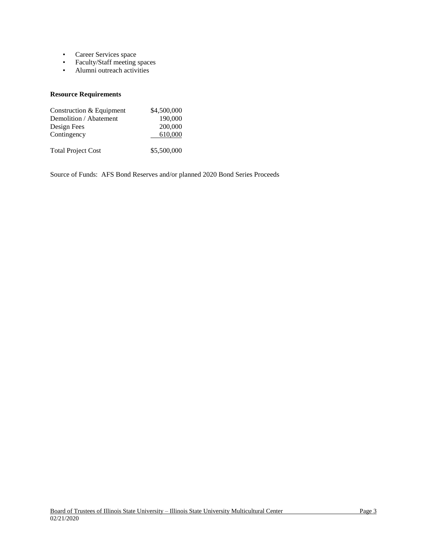- Career Services space
- Faculty/Staff meeting spaces
- Alumni outreach activities

# **Resource Requirements**

| Construction & Equipment  | \$4,500,000 |
|---------------------------|-------------|
| Demolition / Abatement    | 190,000     |
| Design Fees               | 200,000     |
| Contingency               | 610,000     |
|                           |             |
| <b>Total Project Cost</b> | \$5,500,000 |

Source of Funds: AFS Bond Reserves and/or planned 2020 Bond Series Proceeds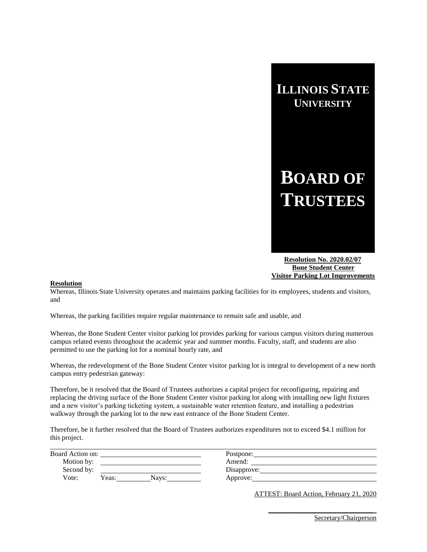

**BOARD OF TRUSTEES**

 **Resolution No. 2020.02/07 Bone Student Center Visitor Parking Lot Improvements**

## **Resolution**

Whereas, Illinois State University operates and maintains parking facilities for its employees, students and visitors, and

Whereas, the parking facilities require regular maintenance to remain safe and usable, and

Whereas, the Bone Student Center visitor parking lot provides parking for various campus visitors during numerous campus related events throughout the academic year and summer months. Faculty, staff, and students are also permitted to use the parking lot for a nominal hourly rate, and

Whereas, the redevelopment of the Bone Student Center visitor parking lot is integral to development of a new north campus entry pedestrian gateway:

Therefore, be it resolved that the Board of Trustees authorizes a capital project for reconfiguring, repairing and replacing the driving surface of the Bone Student Center visitor parking lot along with installing new light fixtures and a new visitor's parking ticketing system, a sustainable water retention feature, and installing a pedestrian walkway through the parking lot to the new east entrance of the Bone Student Center.

Therefore, be it further resolved that the Board of Trustees authorizes expenditures not to exceed \$4.1 million for this project.

| Board Action on: |                | Postpone:   |  |
|------------------|----------------|-------------|--|
| Motion by:       |                | Amend:      |  |
| Second by:       |                | Disapprove: |  |
| Vote:            | Yeas:<br>Navs: | Approve:    |  |
|                  |                |             |  |

ATTEST: Board Action, February 21, 2020

**\_\_\_\_\_\_\_\_\_\_\_\_\_\_\_\_\_\_\_\_\_\_\_\_\_\_\_\_\_\_**\_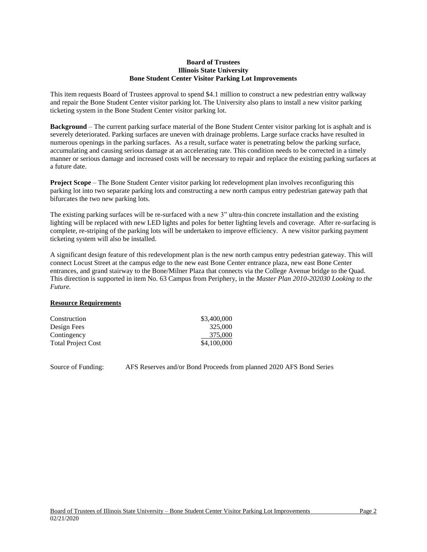## **Board of Trustees Illinois State University Bone Student Center Visitor Parking Lot Improvements**

This item requests Board of Trustees approval to spend \$4.1 million to construct a new pedestrian entry walkway and repair the Bone Student Center visitor parking lot. The University also plans to install a new visitor parking ticketing system in the Bone Student Center visitor parking lot.

**Background** – The current parking surface material of the Bone Student Center visitor parking lot is asphalt and is severely deteriorated. Parking surfaces are uneven with drainage problems. Large surface cracks have resulted in numerous openings in the parking surfaces. As a result, surface water is penetrating below the parking surface, accumulating and causing serious damage at an accelerating rate. This condition needs to be corrected in a timely manner or serious damage and increased costs will be necessary to repair and replace the existing parking surfaces at a future date.

**Project Scope** – The Bone Student Center visitor parking lot redevelopment plan involves reconfiguring this parking lot into two separate parking lots and constructing a new north campus entry pedestrian gateway path that bifurcates the two new parking lots.

The existing parking surfaces will be re-surfaced with a new 3" ultra-thin concrete installation and the existing lighting will be replaced with new LED lights and poles for better lighting levels and coverage. After re-surfacing is complete, re-striping of the parking lots will be undertaken to improve efficiency. A new visitor parking payment ticketing system will also be installed.

A significant design feature of this redevelopment plan is the new north campus entry pedestrian gateway. This will connect Locust Street at the campus edge to the new east Bone Center entrance plaza, new east Bone Center entrances, and grand stairway to the Bone/Milner Plaza that connects via the College Avenue bridge to the Quad. This direction is supported in item No. 63 Campus from Periphery, in the *Master Plan 2010-202030 Looking to the Future.*

# **Resource Requirements**

| Construction              | \$3,400,000 |
|---------------------------|-------------|
| Design Fees               | 325,000     |
| Contingency               | 375,000     |
| <b>Total Project Cost</b> | \$4,100,000 |

Source of Funding: AFS Reserves and/or Bond Proceeds from planned 2020 AFS Bond Series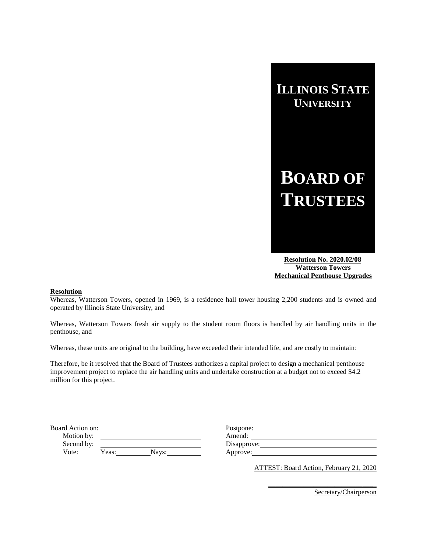

 **Resolution No. 2020.02/08 Watterson Towers Mechanical Penthouse Upgrades**

### **Resolution**

Whereas, Watterson Towers, opened in 1969, is a residence hall tower housing 2,200 students and is owned and operated by Illinois State University, and

Whereas, Watterson Towers fresh air supply to the student room floors is handled by air handling units in the penthouse, and

Whereas, these units are original to the building, have exceeded their intended life, and are costly to maintain:

Therefore, be it resolved that the Board of Trustees authorizes a capital project to design a mechanical penthouse improvement project to replace the air handling units and undertake construction at a budget not to exceed \$4.2 million for this project.

| Board Action on: |       |       | Postpone:   |  |
|------------------|-------|-------|-------------|--|
| Motion by:       |       |       | Amend:      |  |
| Second by:       |       |       | Disapprove: |  |
| Vote:            | Yeas: | Navs: | Approve:    |  |

ATTEST: Board Action, February 21, 2020

**\_\_\_\_\_\_\_\_\_\_\_\_\_\_\_\_\_\_\_\_\_\_\_\_\_\_\_\_\_\_**\_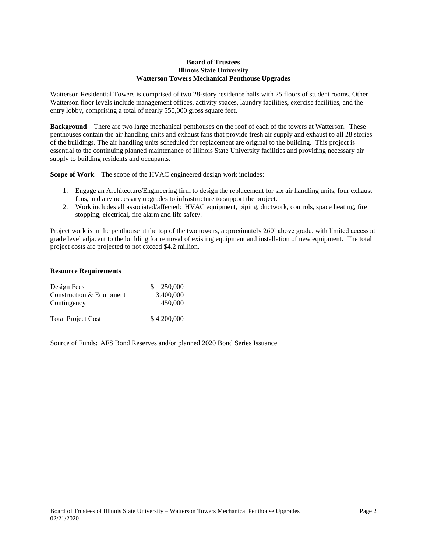# **Board of Trustees Illinois State University Watterson Towers Mechanical Penthouse Upgrades**

Watterson Residential Towers is comprised of two 28-story residence halls with 25 floors of student rooms. Other Watterson floor levels include management offices, activity spaces, laundry facilities, exercise facilities, and the entry lobby, comprising a total of nearly 550,000 gross square feet.

**Background** – There are two large mechanical penthouses on the roof of each of the towers at Watterson. These penthouses contain the air handling units and exhaust fans that provide fresh air supply and exhaust to all 28 stories of the buildings. The air handling units scheduled for replacement are original to the building. This project is essential to the continuing planned maintenance of Illinois State University facilities and providing necessary air supply to building residents and occupants.

**Scope of Work** – The scope of the HVAC engineered design work includes:

- 1. Engage an Architecture/Engineering firm to design the replacement for six air handling units, four exhaust fans, and any necessary upgrades to infrastructure to support the project.
- 2. Work includes all associated/affected: HVAC equipment, piping, ductwork, controls, space heating, fire stopping, electrical, fire alarm and life safety.

Project work is in the penthouse at the top of the two towers, approximately 260' above grade, with limited access at grade level adjacent to the building for removal of existing equipment and installation of new equipment. The total project costs are projected to not exceed \$4.2 million.

# **Resource Requirements**

| Design Fees               | 250,000     |
|---------------------------|-------------|
| Construction & Equipment  | 3,400,000   |
| Contingency               | 450,000     |
| <b>Total Project Cost</b> | \$4,200,000 |

Source of Funds: AFS Bond Reserves and/or planned 2020 Bond Series Issuance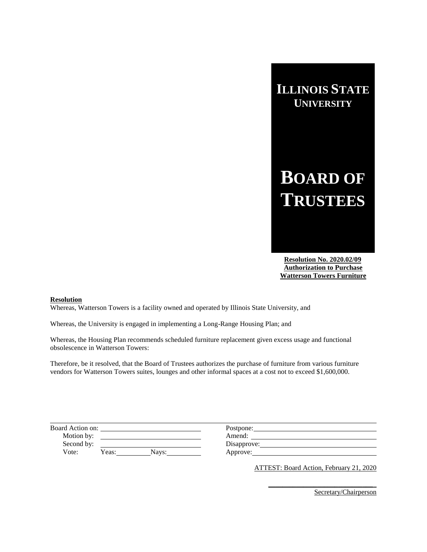# **BOARD OF TRUSTEES**

 **Resolution No. 2020.02/09 Authorization to Purchase Watterson Towers Furniture**

### **Resolution**

Whereas, Watterson Towers is a facility owned and operated by Illinois State University, and

Whereas, the University is engaged in implementing a Long-Range Housing Plan; and

Whereas, the Housing Plan recommends scheduled furniture replacement given excess usage and functional obsolescence in Watterson Towers:

Therefore, be it resolved, that the Board of Trustees authorizes the purchase of furniture from various furniture vendors for Watterson Towers suites, lounges and other informal spaces at a cost not to exceed \$1,600,000.

| Board Action on: |                | Postpone:   |  |
|------------------|----------------|-------------|--|
| Motion by:       |                | Amend:      |  |
| Second by:       |                | Disapprove: |  |
| Vote:            | Yeas:<br>Navs: | Approve:    |  |

ATTEST: Board Action, February 21, 2020

**\_\_\_\_\_\_\_\_\_\_\_\_\_\_\_\_\_\_\_\_\_\_\_\_\_\_\_\_\_\_**\_